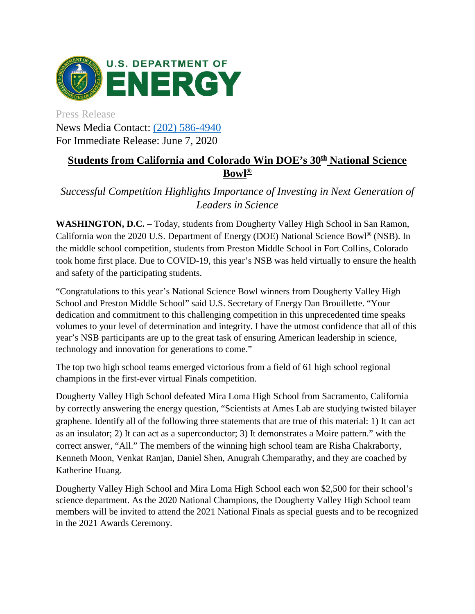

Press Release News Media Contact: [\(202\) 586-4940](tel:%28202%29%20586-4940) For Immediate Release: June 7, 2020

## **Students from California and Colorado Win DOE's 30th National Science Bowl®**

*Successful Competition Highlights Importance of Investing in Next Generation of Leaders in Science*

**WASHINGTON, D.C.** – Today, students from Dougherty Valley High School in San Ramon, California won the 2020 U.S. Department of Energy (DOE) National Science Bowl**®** (NSB). In the middle school competition, students from Preston Middle School in Fort Collins, Colorado took home first place. Due to COVID-19, this year's NSB was held virtually to ensure the health and safety of the participating students.

"Congratulations to this year's National Science Bowl winners from Dougherty Valley High School and Preston Middle School" said U.S. Secretary of Energy Dan Brouillette. "Your dedication and commitment to this challenging competition in this unprecedented time speaks volumes to your level of determination and integrity. I have the utmost confidence that all of this year's NSB participants are up to the great task of ensuring American leadership in science, technology and innovation for generations to come."

The top two high school teams emerged victorious from a field of 61 high school regional champions in the first-ever virtual Finals competition.

Dougherty Valley High School defeated Mira Loma High School from Sacramento, California by correctly answering the energy question, "Scientists at Ames Lab are studying twisted bilayer graphene. Identify all of the following three statements that are true of this material: 1) It can act as an insulator; 2) It can act as a superconductor; 3) It demonstrates a Moire pattern." with the correct answer, "All." The members of the winning high school team are Risha Chakraborty, Kenneth Moon, Venkat Ranjan, Daniel Shen, Anugrah Chemparathy, and they are coached by Katherine Huang.

Dougherty Valley High School and Mira Loma High School each won \$2,500 for their school's science department. As the 2020 National Champions, the Dougherty Valley High School team members will be invited to attend the 2021 National Finals as special guests and to be recognized in the 2021 Awards Ceremony.